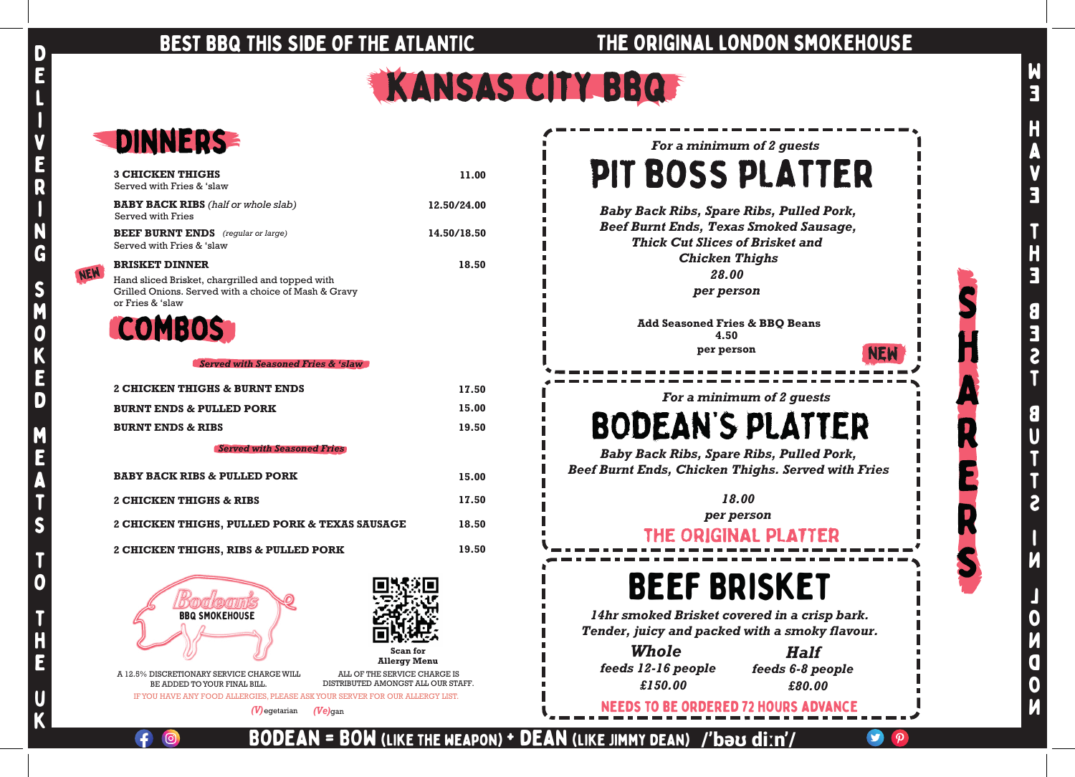### BEST BBQ THIS SIDE OF THE ATLANTIC THE ORIGINAL LONDON SMOKEHOUSE



NEW

b

Bodean = BOW (like the weapon) + dean (like Jimmy dean)

/'bəʊ diːn'/

| DINNERS                                                                                                                                               |             |
|-------------------------------------------------------------------------------------------------------------------------------------------------------|-------------|
| <b>3 CHICKEN THIGHS</b><br>Served with Fries & 'slaw                                                                                                  | 11.00       |
| <b>BABY BACK RIBS</b> (half or whole slab)<br>Served with Fries                                                                                       | 12.50/24.00 |
| <b>BEEF BURNT ENDS</b> (regular or large)<br>Served with Fries & 'slaw                                                                                | 14.50/18.50 |
| <b>BRISKET DINNER</b><br>Hand sliced Brisket, chargrilled and topped with<br>Grilled Onions. Served with a choice of Mash & Gravy<br>or Fries & 'slaw | 18.50       |
| <b>COMBOS</b>                                                                                                                                         |             |
| <b>Served with Seasoned Fries &amp; 'slaw</b>                                                                                                         |             |
| 2 CHICKEN THIGHS & BURNT ENDS                                                                                                                         | 17.50       |
| <b>BURNT ENDS &amp; PULLED PORK</b>                                                                                                                   | 15.00       |
| <b>BURNT ENDS &amp; RIBS</b>                                                                                                                          | 19.50       |
| <b>Served with Seasoned Fries</b>                                                                                                                     |             |
| <b>BABY BACK RIBS &amp; PULLED PORK</b>                                                                                                               | 15.00       |
| 2 CHICKEN THIGHS & RIBS                                                                                                                               | 17.50       |
| 2 CHICKEN THIGHS, PULLED PORK & TEXAS SAUSAGE                                                                                                         | 18.50       |
| 2 CHICKEN THIGHS, RIBS & PULLED PORK                                                                                                                  | 19.50       |
|                                                                                                                                                       |             |

*Baby Back Ribs, Spare Ribs, Pulled Pork, Beef Burnt Ends, Chicken Thighs. Served with Fries*

*For a minimum of 2 guests*  PIT BOSS PLATTER *Baby Back Ribs, Spare Ribs, Pulled Pork, Beef Burnt Ends, Texas Smoked Sausage, Thick Cut Slices of Brisket and Chicken Thighs 28.00 per person*

### *For a minimum of 2 guests*

# **BODEAN'S PLATTER**

*18.00 per person*

### THE ORIGINAL PLATTER

 A 12.5% DISCRETIONARY SERVICE CHARGE WILL BE ADDED TO YOUR FINAL BILL.



ALL OF THE SERVICE CHARGE IS DISTRIBUTED AMONGST ALL OUR STAFF. **Add Seasoned Fries & BBQ Beans 4.50 per person**

# Beef Brisket

*14hr smoked Brisket covered in a crisp bark. Tender, juicy and packed with a smoky flavour.*

needs to be ordered 72 hours advance

*£150.00 Whole feeds 12-16 people*

**Scan for Allergy Menu**



*£80.00 Half feeds 6-8 people*